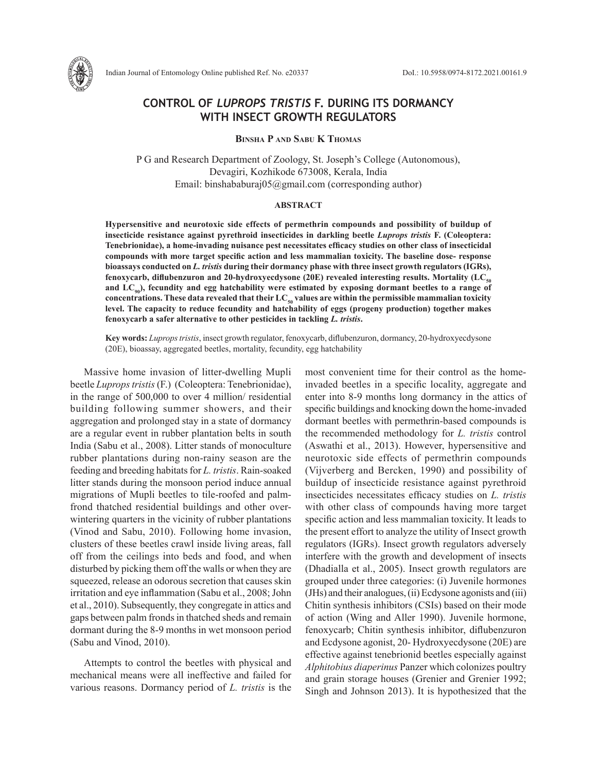

Indian Journal of Entomology Online published Ref. No. e20337 DoI.: 10.5958/0974-8172.2021.00161.9

# **CONTROL OF** *LUPROPS TRISTIS* **F. DURING ITS DORMANCY WITH INSECT GROWTH REGULATORS**

**Binsha P and Sabu K Thomas**

P G and Research Department of Zoology, St. Joseph's College (Autonomous), Devagiri, Kozhikode 673008, Kerala, India Email: binshababuraj $05@g$ gmail.com (corresponding author)

### **ABSTRACT**

**Hypersensitive and neurotoxic side effects of permethrin compounds and possibility of buildup of insecticide resistance against pyrethroid insecticides in darkling beetle** *Luprops tristis* **F. (Coleoptera: Tenebrionidae), a home-invading nuisance pest necessitates efficacy studies on other class of insecticidal compounds with more target specific action and less mammalian toxicity. The baseline dose- response bioassays conducted on** *L. tristis* **during their dormancy phase with three insect growth regulators (IGRs),**  fenoxycarb, diflubenzuron and 20-hydroxyecdysone (20E) revealed interesting results. Mortality (LC<sub>so</sub> **and LC90), fecundity and egg hatchability were estimated by exposing dormant beetles to a range of**  concentrations. These data revealed that their LC<sub>50</sub> values are within the permissible mammalian toxicity **level. The capacity to reduce fecundity and hatchability of eggs (progeny production) together makes fenoxycarb a safer alternative to other pesticides in tackling** *L. tristis***.**

**Key words:** *Luprops tristis*, insect growth regulator, fenoxycarb, diflubenzuron, dormancy, 20-hydroxyecdysone (20E), bioassay, aggregated beetles, mortality, fecundity, egg hatchability

Massive home invasion of litter-dwelling Mupli beetle *Luprops tristis* (F.) (Coleoptera: Tenebrionidae), in the range of 500,000 to over 4 million/ residential building following summer showers, and their aggregation and prolonged stay in a state of dormancy are a regular event in rubber plantation belts in south India (Sabu et al., 2008). Litter stands of monoculture rubber plantations during non-rainy season are the feeding and breeding habitats for *L. tristis*. Rain-soaked litter stands during the monsoon period induce annual migrations of Mupli beetles to tile-roofed and palmfrond thatched residential buildings and other overwintering quarters in the vicinity of rubber plantations (Vinod and Sabu, 2010). Following home invasion, clusters of these beetles crawl inside living areas, fall off from the ceilings into beds and food, and when disturbed by picking them off the walls or when they are squeezed, release an odorous secretion that causes skin irritation and eye inflammation (Sabu et al., 2008; John et al., 2010). Subsequently, they congregate in attics and gaps between palm fronds in thatched sheds and remain dormant during the 8-9 months in wet monsoon period (Sabu and Vinod, 2010).

Attempts to control the beetles with physical and mechanical means were all ineffective and failed for various reasons. Dormancy period of *L. tristis* is the most convenient time for their control as the homeinvaded beetles in a specific locality, aggregate and enter into 8-9 months long dormancy in the attics of specific buildings and knocking down the home-invaded dormant beetles with permethrin-based compounds is the recommended methodology for *L. tristis* control (Aswathi et al., 2013). However, hypersensitive and neurotoxic side effects of permethrin compounds (Vijverberg and Bercken, 1990) and possibility of buildup of insecticide resistance against pyrethroid insecticides necessitates efficacy studies on *L. tristis* with other class of compounds having more target specific action and less mammalian toxicity. It leads to the present effort to analyze the utility of Insect growth regulators (IGRs). Insect growth regulators adversely interfere with the growth and development of insects (Dhadialla et al., 2005). Insect growth regulators are grouped under three categories: (i) Juvenile hormones (JHs) and their analogues, (ii) Ecdysone agonists and (iii) Chitin synthesis inhibitors (CSIs) based on their mode of action (Wing and Aller 1990). Juvenile hormone, fenoxycarb; Chitin synthesis inhibitor, diflubenzuron and Ecdysone agonist, 20- Hydroxyecdysone (20E) are effective against tenebrionid beetles especially against *Alphitobius diaperinus* Panzer which colonizes poultry and grain storage houses (Grenier and Grenier 1992; Singh and Johnson 2013). It is hypothesized that the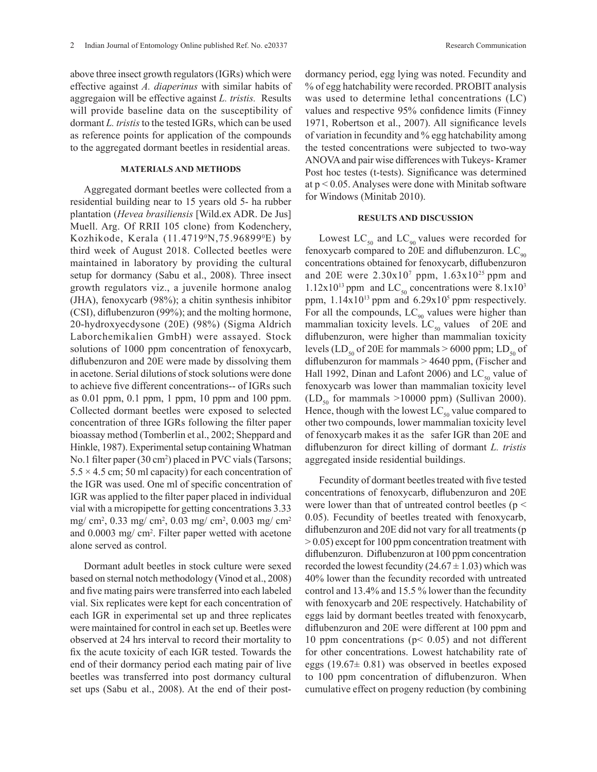above three insect growth regulators (IGRs) which were effective against *A. diaperinus* with similar habits of aggregaion will be effective against *L. tristis.* Results will provide baseline data on the susceptibility of dormant *L. tristis* to the tested IGRs, which can be used as reference points for application of the compounds to the aggregated dormant beetles in residential areas.

## **MATERIALS AND METHODS**

Aggregated dormant beetles were collected from a residential building near to 15 years old 5- ha rubber plantation (*Hevea brasiliensis* [Wild.ex ADR. De Jus] Muell. Arg. Of RRII 105 clone) from Kodenchery, Kozhikode, Kerala (11.4719°N,75.96899°E) by third week of August 2018. Collected beetles were maintained in laboratory by providing the cultural setup for dormancy (Sabu et al., 2008). Three insect growth regulators viz., a juvenile hormone analog (JHA), fenoxycarb (98%); a chitin synthesis inhibitor (CSI), diflubenzuron (99%); and the molting hormone, 20-hydroxyecdysone (20E) (98%) (Sigma Aldrich Laborchemikalien GmbH) were assayed. Stock solutions of 1000 ppm concentration of fenoxycarb, diflubenzuron and 20E were made by dissolving them in acetone. Serial dilutions of stock solutions were done to achieve five different concentrations-- of IGRs such as 0.01 ppm, 0.1 ppm, 1 ppm, 10 ppm and 100 ppm. Collected dormant beetles were exposed to selected concentration of three IGRs following the filter paper bioassay method (Tomberlin et al., 2002; Sheppard and Hinkle, 1987). Experimental setup containing Whatman No.1 filter paper (30 cm<sup>2</sup> ) placed in PVC vials (Tarsons;  $5.5 \times 4.5$  cm; 50 ml capacity) for each concentration of the IGR was used. One ml of specific concentration of IGR was applied to the filter paper placed in individual vial with a micropipette for getting concentrations 3.33 mg/ cm<sup>2</sup>, 0.33 mg/ cm<sup>2</sup>, 0.03 mg/ cm<sup>2</sup>, 0.003 mg/ cm<sup>2</sup> and 0.0003 mg/ cm2 . Filter paper wetted with acetone alone served as control.

Dormant adult beetles in stock culture were sexed based on sternal notch methodology (Vinod et al., 2008) and five mating pairs were transferred into each labeled vial. Six replicates were kept for each concentration of each IGR in experimental set up and three replicates were maintained for control in each set up. Beetles were observed at 24 hrs interval to record their mortality to fix the acute toxicity of each IGR tested. Towards the end of their dormancy period each mating pair of live beetles was transferred into post dormancy cultural set ups (Sabu et al., 2008). At the end of their postdormancy period, egg lying was noted. Fecundity and % of egg hatchability were recorded. PROBIT analysis was used to determine lethal concentrations (LC) values and respective 95% confidence limits (Finney 1971, Robertson et al., 2007). All significance levels of variation in fecundity and % egg hatchability among the tested concentrations were subjected to two-way ANOVA and pair wise differences with Tukeys- Kramer Post hoc testes (t-tests). Significance was determined at  $p < 0.05$ . Analyses were done with Minitab software for Windows (Minitab 2010).

### **RESULTS AND DISCUSSION**

Lowest  $LC_{50}$  and  $LC_{90}$  values were recorded for fenoxycarb compared to 20E and diflubenzuron.  $LC_{\text{90}}$ concentrations obtained for fenoxycarb, diflubenzuron and 20E were  $2.30x10^7$  ppm,  $1.63x10^{25}$  ppm and  $1.12x10^{13}$  ppm and LC<sub>50</sub> concentrations were 8.1x10<sup>3</sup> ppm,  $1.14x10^{13}$  ppm and  $6.29x10^5$  ppm respectively. For all the compounds,  $LC_{90}$  values were higher than mammalian toxicity levels. LC<sub>50</sub> values of 20E and diflubenzuron, were higher than mammalian toxicity levels (LD<sub>50</sub> of 20E for mammals  $> 6000$  ppm; LD<sub>50</sub> of diflubenzuron for mammals > 4640 ppm, (Fischer and Hall 1992, Dinan and Lafont 2006) and  $LC_{50}$  value of fenoxycarb was lower than mammalian toxicity level  $(LD<sub>50</sub>$  for mammals >10000 ppm) (Sullivan 2000). Hence, though with the lowest  $LC_{50}$  value compared to other two compounds, lower mammalian toxicity level of fenoxycarb makes it as the safer IGR than 20E and diflubenzuron for direct killing of dormant *L. tristis*  aggregated inside residential buildings.

Fecundity of dormant beetles treated with five tested concentrations of fenoxycarb, diflubenzuron and 20E were lower than that of untreated control beetles ( $p <$ 0.05). Fecundity of beetles treated with fenoxycarb, diflubenzuron and 20E did not vary for all treatments (p > 0.05) except for 100 ppm concentration treatment with diflubenzuron. Diflubenzuron at 100 ppm concentration recorded the lowest fecundity  $(24.67 \pm 1.03)$  which was 40% lower than the fecundity recorded with untreated control and 13.4% and 15.5 % lower than the fecundity with fenoxycarb and 20E respectively. Hatchability of eggs laid by dormant beetles treated with fenoxycarb, diflubenzuron and 20E were different at 100 ppm and 10 ppm concentrations (p< 0.05) and not different for other concentrations. Lowest hatchability rate of eggs (19.67± 0.81) was observed in beetles exposed to 100 ppm concentration of diflubenzuron. When cumulative effect on progeny reduction (by combining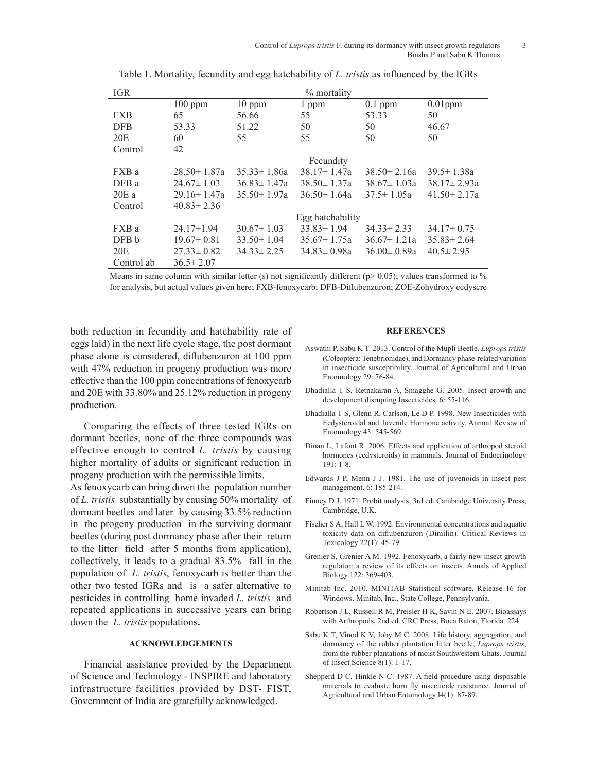| <b>IGR</b> | % mortality       |                   |                   |                   |                   |
|------------|-------------------|-------------------|-------------------|-------------------|-------------------|
|            | $100$ ppm         | $10$ ppm          | 1 ppm             | $0.1$ ppm         | $0.01$ ppm        |
| <b>FXB</b> | 65                | 56.66             | 55                | 53.33             | 50                |
| <b>DFB</b> | 53.33             | 51.22             | 50                | 50                | 46.67             |
| 20E        | 60                | 55                | 55                | 50                | 50                |
| Control    | 42                |                   |                   |                   |                   |
|            | Fecundity         |                   |                   |                   |                   |
| FXB a      | $28.50 \pm 1.87a$ | $35.33 \pm 1.86a$ | $38.17 \pm 1.47a$ | $38.50 \pm 2.16a$ | $39.5 \pm 1.38a$  |
| DFB a      | $24.67 \pm 1.03$  | $36.83 \pm 1.47a$ | $38.50 \pm 1.37a$ | $38.67 \pm 1.03a$ | $38.17 \pm 2.93a$ |
| 20Ea       | $29.16 \pm 1.47a$ | $35.50 \pm 1.97a$ | $36.50 \pm 1.64a$ | $37.5 \pm 1.05a$  | $41.50 \pm 2.17a$ |
| Control    | $40.83 \pm 2.36$  |                   |                   |                   |                   |
|            | Egg hatchability  |                   |                   |                   |                   |
| FXB a      | $24.17 \pm 1.94$  | $30.67 \pm 1.03$  | $33.83 \pm 1.94$  | $34.33 \pm 2.33$  | $34.17 \pm 0.75$  |
| DFB b      | $19.67 \pm 0.81$  | $33.50 \pm 1.04$  | $35.67 \pm 1.75a$ | $36.67 \pm 1.21a$ | $35.83 \pm 2.64$  |
| 20E        | $27.33 \pm 0.82$  | $34.33 \pm 2.25$  | $34.83 \pm 0.98a$ | $36.00 \pm 0.89a$ | $40.5 \pm 2.95$   |
| Control ab | $36.5 \pm 2.07$   |                   |                   |                   |                   |

Table 1. Mortality, fecundity and egg hatchability of *L. tristis* as influenced by the IGRs

Means in same column with similar letter (s) not significantly different ( $p$  > 0.05); values transformed to % for analysis, but actual values given here; FXB-fenoxycarb; DFB-Diflubenzuron; ZOE-Zohydroxy ecdyscre

both reduction in fecundity and hatchability rate of eggs laid) in the next life cycle stage, the post dormant phase alone is considered, diflubenzuron at 100 ppm with 47% reduction in progeny production was more effective than the 100 ppm concentrations of fenoxycarb and 20E with 33.80% and 25.12% reduction in progeny production.

Comparing the effects of three tested IGRs on dormant beetles, none of the three compounds was effective enough to control *L. tristis* by causing higher mortality of adults or significant reduction in progeny production with the permissible limits.

As fenoxycarb can bring down the population number of *L. tristis* substantially by causing 50% mortality of dormant beetles and later by causing 33.5% reduction in the progeny production in the surviving dormant beetles (during post dormancy phase after their return to the litter field after 5 months from application), collectively, it leads to a gradual 83.5% fall in the population of *L. tristis*, fenoxycarb is better than the other two tested IGRs and is a safer alternative to pesticides in controlling home invaded *L. tristis* and repeated applications in successive years can bring down the *L. tristis* populations**.**

## **ACKNOWLEDGEMENTS**

Financial assistance provided by the Department of Science and Technology - INSPIRE and laboratory infrastructure facilities provided by DST- FIST, Government of India are gratefully acknowledged.

#### **REFERENCES**

- Aswathi P, Sabu K T. 2013. Control of the Mupli Beetle, *Luprops tristis* (Coleoptera: Tenebrionidae), and Dormancy phase-related variation in insecticide susceptibility. Journal of Agricultural and Urban Entomology 29: 76-84.
- Dhadialla T S, Retnakaran A, Smagghe G. 2005. Insect growth and development disrupting Insecticides. 6: 55-116*.*
- Dhadialla T S, Glenn R, Carlson, Le D P. 1998. New Insecticides with Ecdysteroidal and Juvenile Hormone activity. Annual Review of Entomology 43: 545-569.
- Dinan L, Lafont R. 2006. Effects and application of arthropod steroid hormones (ecdysteroids) in mammals. Journal of Endocrinology  $191 \cdot 1 - 8$
- Edwards J P, Menn J J. 1981. The use of juvenoids in insect pest management. 6: 185-214.
- Finney D J. 1971. Probit analysis, 3rd ed. Cambridge University Press, Cambridge, U.K.
- Fischer S A, Hall L W. 1992. Environmental concentrations and aquatic toxicity data on diflubenzuron (Dimilin). Critical Reviews in Toxicology 22(1): 45-79.
- Grenier S, Grenier A M. 1992. Fenoxycarb, a fairly new insect growth regulator: a review of its effects on insects. Annals of Applied Biology 122: 369-403.
- Minitab Inc. 2010. MINITAB Statistical software, Release 16 for Windows. Minitab, Inc., State College, Pennsylvania.
- Robertson J L, Russell R M, Preisler H K, Savin N E. 2007. Bioassays with Arthropods, 2nd ed. CRC Press, Boca Raton, Florida. 224.
- Sabu K T, Vinod K V, Joby M C. 2008. Life history, aggregation, and dormancy of the rubber plantation litter beetle, *Luprops tristis*, from the rubber plantations of moist Southwestern Ghats. Journal of Insect Science 8(1): 1-17.
- Shepperd D C, Hinkle N C. 1987. A field procedure using disposable materials to evaluate horn fly insecticide resistance. Journal of Agricultural and Urban Entomology l4(1): 87-89.